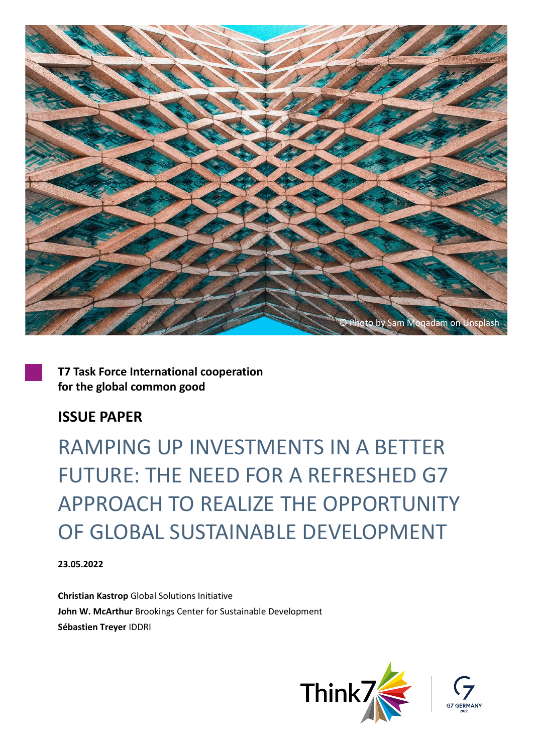

**T7 Task Force International cooperation for the global common good**

### **ISSUE PAPER**

RAMPING UP INVESTMENTS IN A BETTER FUTURE: THE NEED FOR A REFRESHED G7 APPROACH TO REALIZE THE OPPORTUNITY OF GLOBAL SUSTAINABLE DEVELOPMENT

**23.05.2022**

**Christian Kastrop** Global Solutions Initiative **John W. McArthur** Brookings Center for Sustainable Development **Sébastien Treyer** IDDRI

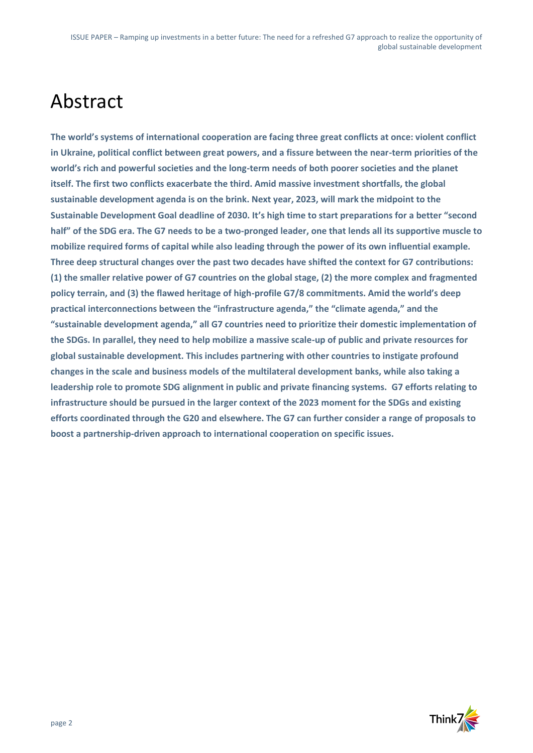## Abstract

**The world's systems of international cooperation are facing three great conflicts at once: violent conflict in Ukraine, political conflict between great powers, and a fissure between the near-term priorities of the world's rich and powerful societies and the long-term needs of both poorer societies and the planet itself. The first two conflicts exacerbate the third. Amid massive investment shortfalls, the global sustainable development agenda is on the brink. Next year, 2023, will mark the midpoint to the Sustainable Development Goal deadline of 2030. It's high time to start preparations for a better "second half" of the SDG era. The G7 needs to be a two-pronged leader, one that lends all its supportive muscle to mobilize required forms of capital while also leading through the power of its own influential example. Three deep structural changes over the past two decades have shifted the context for G7 contributions: (1) the smaller relative power of G7 countries on the global stage, (2) the more complex and fragmented policy terrain, and (3) the flawed heritage of high-profile G7/8 commitments. Amid the world's deep practical interconnections between the "infrastructure agenda," the "climate agenda," and the "sustainable development agenda," all G7 countries need to prioritize their domestic implementation of the SDGs. In parallel, they need to help mobilize a massive scale-up of public and private resources for global sustainable development. This includes partnering with other countries to instigate profound changes in the scale and business models of the multilateral development banks, while also taking a leadership role to promote SDG alignment in public and private financing systems. G7 efforts relating to infrastructure should be pursued in the larger context of the 2023 moment for the SDGs and existing efforts coordinated through the G20 and elsewhere. The G7 can further consider a range of proposals to boost a partnership-driven approach to international cooperation on specific issues.** 

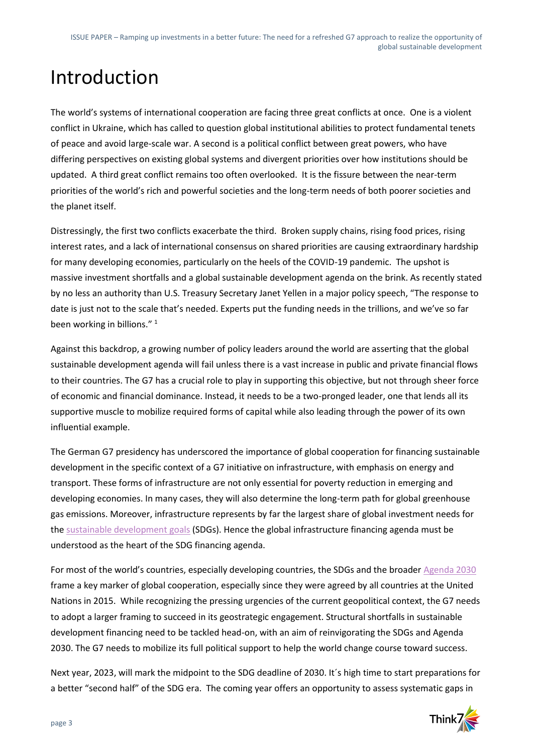## Introduction

The world's systems of international cooperation are facing three great conflicts at once. One is a violent conflict in Ukraine, which has called to question global institutional abilities to protect fundamental tenets of peace and avoid large-scale war. A second is a political conflict between great powers, who have differing perspectives on existing global systems and divergent priorities over how institutions should be updated. A third great conflict remains too often overlooked. It is the fissure between the near-term priorities of the world's rich and powerful societies and the long-term needs of both poorer societies and the planet itself.

Distressingly, the first two conflicts exacerbate the third. Broken supply chains, rising food prices, rising interest rates, and a lack of international consensus on shared priorities are causing extraordinary hardship for many developing economies, particularly on the heels of the COVID-19 pandemic. The upshot is massive investment shortfalls and a global sustainable development agenda on the brink. As recently stated by no less an authority than U.S. Treasury Secretary Janet Yellen in a major policy speech, "The response to date is just not to the scale that's needed. Experts put the funding needs in the trillions, and we've so far been working in billions."<sup>1</sup>

Against this backdrop, a growing number of policy leaders around the world are asserting that the global sustainable development agenda will fail unless there is a vast increase in public and private financial flows to their countries. The G7 has a crucial role to play in supporting this objective, but not through sheer force of economic and financial dominance. Instead, it needs to be a two-pronged leader, one that lends all its supportive muscle to mobilize required forms of capital while also leading through the power of its own influential example.

The German G7 presidency has underscored the importance of global cooperation for financing sustainable development in the specific context of a G7 initiative on infrastructure, with emphasis on energy and transport. These forms of infrastructure are not only essential for poverty reduction in emerging and developing economies. In many cases, they will also determine the long-term path for global greenhouse gas emissions. Moreover, infrastructure represents by far the largest share of global investment needs for the [sustainable development goals](https://sdgs.un.org/goals) (SDGs). Hence the global infrastructure financing agenda must be understood as the heart of the SDG financing agenda.

For most of the world's countries, especially developing countries, the SDGs and the broader [Agenda 2030](https://sdgs.un.org/2030agenda) frame a key marker of global cooperation, especially since they were agreed by all countries at the United Nations in 2015. While recognizing the pressing urgencies of the current geopolitical context, the G7 needs to adopt a larger framing to succeed in its geostrategic engagement. Structural shortfalls in sustainable development financing need to be tackled head-on, with an aim of reinvigorating the SDGs and Agenda 2030. The G7 needs to mobilize its full political support to help the world change course toward success.

Next year, 2023, will mark the midpoint to the SDG deadline of 2030. It´s high time to start preparations for a better "second half" of the SDG era. The coming year offers an opportunity to assess systematic gaps in

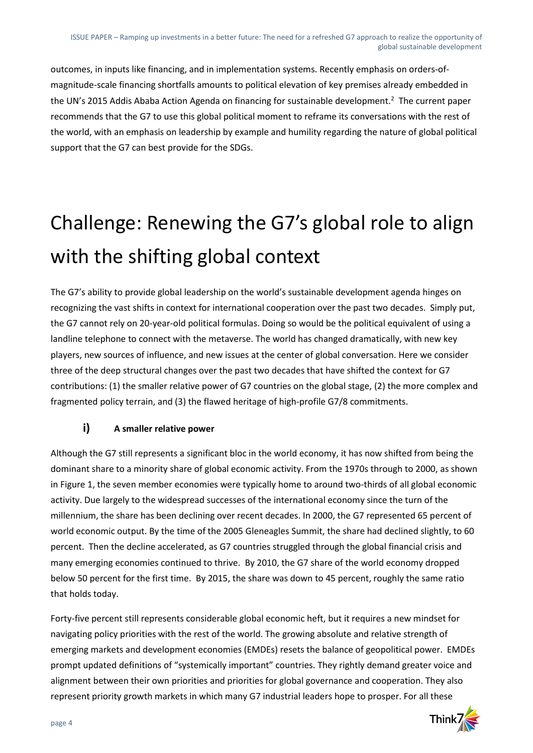outcomes, in inputs like financing, and in implementation systems. Recently emphasis on orders-ofmagnitude-scale financing shortfalls amounts to political elevation of key premises already embedded in the UN's 2015 Addis Ababa Action Agenda on financing for sustainable development.<sup>2</sup> The current paper recommends that the G7 to use this global political moment to reframe its conversations with the rest of the world, with an emphasis on leadership by example and humility regarding the nature of global political support that the G7 can best provide for the SDGs.

# Challenge: Renewing the G7's global role to align with the shifting global context

The G7's ability to provide global leadership on the world's sustainable development agenda hinges on recognizing the vast shifts in context for international cooperation over the past two decades. Simply put, the G7 cannot rely on 20-year-old political formulas. Doing so would be the political equivalent of using a landline telephone to connect with the metaverse. The world has changed dramatically, with new key players, new sources of influence, and new issues at the center of global conversation. Here we consider three of the deep structural changes over the past two decades that have shifted the context for G7 contributions: (1) the smaller relative power of G7 countries on the global stage, (2) the more complex and fragmented policy terrain, and (3) the flawed heritage of high-profile G7/8 commitments.

### **i) A smaller relative power**

Although the G7 still represents a significant bloc in the world economy, it has now shifted from being the dominant share to a minority share of global economic activity. From the 1970s through to 2000, as shown in Figure 1, the seven member economies were typically home to around two-thirds of all global economic activity. Due largely to the widespread successes of the international economy since the turn of the millennium, the share has been declining over recent decades. In 2000, the G7 represented 65 percent of world economic output. By the time of the 2005 Gleneagles Summit, the share had declined slightly, to 60 percent. Then the decline accelerated, as G7 countries struggled through the global financial crisis and many emerging economies continued to thrive. By 2010, the G7 share of the world economy dropped below 50 percent for the first time. By 2015, the share was down to 45 percent, roughly the same ratio that holds today.

Forty-five percent still represents considerable global economic heft, but it requires a new mindset for navigating policy priorities with the rest of the world. The growing absolute and relative strength of emerging markets and development economies (EMDEs) resets the balance of geopolitical power. EMDEs prompt updated definitions of "systemically important" countries. They rightly demand greater voice and alignment between their own priorities and priorities for global governance and cooperation. They also represent priority growth markets in which many G7 industrial leaders hope to prosper. For all these

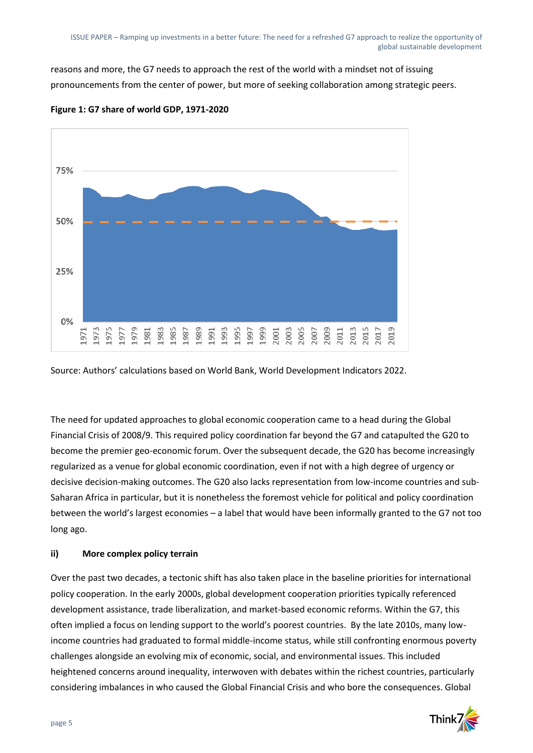reasons and more, the G7 needs to approach the rest of the world with a mindset not of issuing pronouncements from the center of power, but more of seeking collaboration among strategic peers.



**Figure 1: G7 share of world GDP, 1971-2020**

Source: Authors' calculations based on World Bank, World Development Indicators 2022.

The need for updated approaches to global economic cooperation came to a head during the Global Financial Crisis of 2008/9. This required policy coordination far beyond the G7 and catapulted the G20 to become the premier geo-economic forum. Over the subsequent decade, the G20 has become increasingly regularized as a venue for global economic coordination, even if not with a high degree of urgency or decisive decision-making outcomes. The G20 also lacks representation from low-income countries and sub-Saharan Africa in particular, but it is nonetheless the foremost vehicle for political and policy coordination between the world's largest economies – a label that would have been informally granted to the G7 not too long ago.

#### **ii) More complex policy terrain**

Over the past two decades, a tectonic shift has also taken place in the baseline priorities for international policy cooperation. In the early 2000s, global development cooperation priorities typically referenced development assistance, trade liberalization, and market-based economic reforms. Within the G7, this often implied a focus on lending support to the world's poorest countries. By the late 2010s, many lowincome countries had graduated to formal middle-income status, while still confronting enormous poverty challenges alongside an evolving mix of economic, social, and environmental issues. This included heightened concerns around inequality, interwoven with debates within the richest countries, particularly considering imbalances in who caused the Global Financial Crisis and who bore the consequences. Global

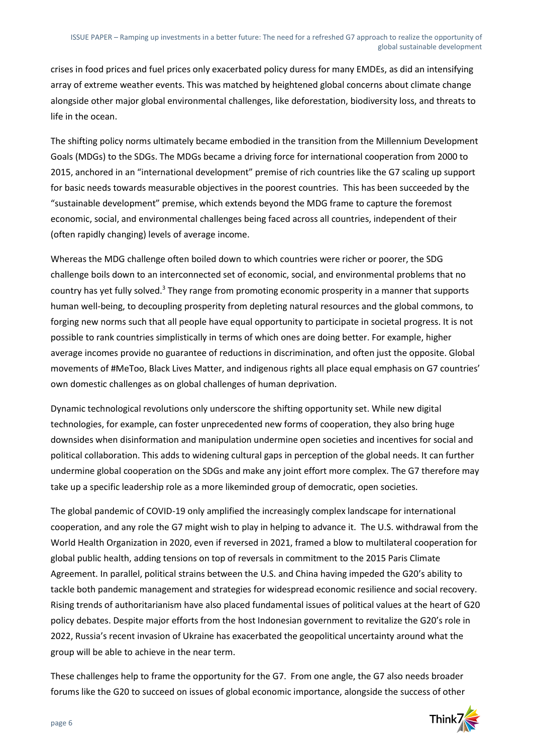crises in food prices and fuel prices only exacerbated policy duress for many EMDEs, as did an intensifying array of extreme weather events. This was matched by heightened global concerns about climate change alongside other major global environmental challenges, like deforestation, biodiversity loss, and threats to life in the ocean.

The shifting policy norms ultimately became embodied in the transition from the Millennium Development Goals (MDGs) to the SDGs. The MDGs became a driving force for international cooperation from 2000 to 2015, anchored in an "international development" premise of rich countries like the G7 scaling up support for basic needs towards measurable objectives in the poorest countries. This has been succeeded by the "sustainable development" premise, which extends beyond the MDG frame to capture the foremost economic, social, and environmental challenges being faced across all countries, independent of their (often rapidly changing) levels of average income.

Whereas the MDG challenge often boiled down to which countries were richer or poorer, the SDG challenge boils down to an interconnected set of economic, social, and environmental problems that no country has yet fully solved.<sup>3</sup> They range from promoting economic prosperity in a manner that supports human well-being, to decoupling prosperity from depleting natural resources and the global commons, to forging new norms such that all people have equal opportunity to participate in societal progress. It is not possible to rank countries simplistically in terms of which ones are doing better. For example, higher average incomes provide no guarantee of reductions in discrimination, and often just the opposite. Global movements of #MeToo, Black Lives Matter, and indigenous rights all place equal emphasis on G7 countries' own domestic challenges as on global challenges of human deprivation.

Dynamic technological revolutions only underscore the shifting opportunity set. While new digital technologies, for example, can foster unprecedented new forms of cooperation, they also bring huge downsides when disinformation and manipulation undermine open societies and incentives for social and political collaboration. This adds to widening cultural gaps in perception of the global needs. It can further undermine global cooperation on the SDGs and make any joint effort more complex. The G7 therefore may take up a specific leadership role as a more likeminded group of democratic, open societies.

The global pandemic of COVID-19 only amplified the increasingly complex landscape for international cooperation, and any role the G7 might wish to play in helping to advance it. The U.S. withdrawal from the World Health Organization in 2020, even if reversed in 2021, framed a blow to multilateral cooperation for global public health, adding tensions on top of reversals in commitment to the 2015 Paris Climate Agreement. In parallel, political strains between the U.S. and China having impeded the G20's ability to tackle both pandemic management and strategies for widespread economic resilience and social recovery. Rising trends of authoritarianism have also placed fundamental issues of political values at the heart of G20 policy debates. Despite major efforts from the host Indonesian government to revitalize the G20's role in 2022, Russia's recent invasion of Ukraine has exacerbated the geopolitical uncertainty around what the group will be able to achieve in the near term.

These challenges help to frame the opportunity for the G7. From one angle, the G7 also needs broader forums like the G20 to succeed on issues of global economic importance, alongside the success of other

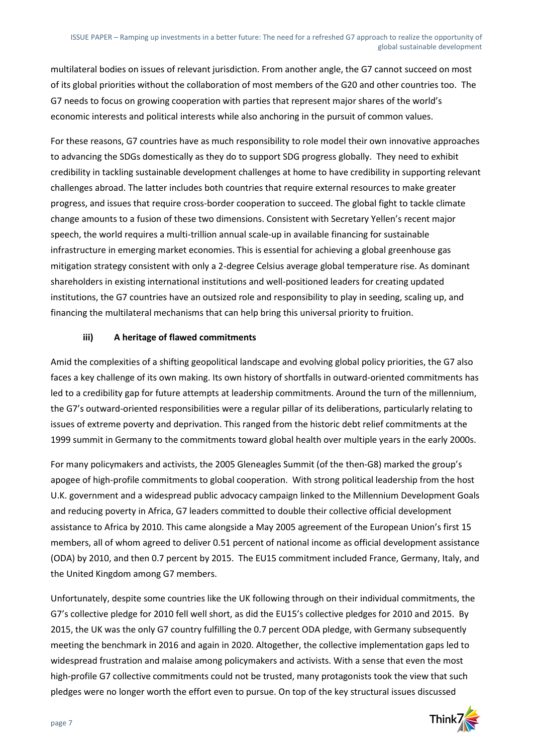multilateral bodies on issues of relevant jurisdiction. From another angle, the G7 cannot succeed on most of its global priorities without the collaboration of most members of the G20 and other countries too. The G7 needs to focus on growing cooperation with parties that represent major shares of the world's economic interests and political interests while also anchoring in the pursuit of common values.

For these reasons, G7 countries have as much responsibility to role model their own innovative approaches to advancing the SDGs domestically as they do to support SDG progress globally. They need to exhibit credibility in tackling sustainable development challenges at home to have credibility in supporting relevant challenges abroad. The latter includes both countries that require external resources to make greater progress, and issues that require cross-border cooperation to succeed. The global fight to tackle climate change amounts to a fusion of these two dimensions. Consistent with Secretary Yellen's recent major speech, the world requires a multi-trillion annual scale-up in available financing for sustainable infrastructure in emerging market economies. This is essential for achieving a global greenhouse gas mitigation strategy consistent with only a 2-degree Celsius average global temperature rise. As dominant shareholders in existing international institutions and well-positioned leaders for creating updated institutions, the G7 countries have an outsized role and responsibility to play in seeding, scaling up, and financing the multilateral mechanisms that can help bring this universal priority to fruition.

#### **iii) A heritage of flawed commitments**

Amid the complexities of a shifting geopolitical landscape and evolving global policy priorities, the G7 also faces a key challenge of its own making. Its own history of shortfalls in outward-oriented commitments has led to a credibility gap for future attempts at leadership commitments. Around the turn of the millennium, the G7's outward-oriented responsibilities were a regular pillar of its deliberations, particularly relating to issues of extreme poverty and deprivation. This ranged from the historic debt relief commitments at the 1999 summit in Germany to the commitments toward global health over multiple years in the early 2000s.

For many policymakers and activists, the 2005 Gleneagles Summit (of the then-G8) marked the group's apogee of high-profile commitments to global cooperation. With strong political leadership from the host U.K. government and a widespread public advocacy campaign linked to the Millennium Development Goals and reducing poverty in Africa, G7 leaders committed to double their collective official development assistance to Africa by 2010. This came alongside a May 2005 agreement of the European Union's first 15 members, all of whom agreed to deliver 0.51 percent of national income as official development assistance (ODA) by 2010, and then 0.7 percent by 2015. The EU15 commitment included France, Germany, Italy, and the United Kingdom among G7 members.

Unfortunately, despite some countries like the UK following through on their individual commitments, the G7's collective pledge for 2010 fell well short, as did the EU15's collective pledges for 2010 and 2015. By 2015, the UK was the only G7 country fulfilling the 0.7 percent ODA pledge, with Germany subsequently meeting the benchmark in 2016 and again in 2020. Altogether, the collective implementation gaps led to widespread frustration and malaise among policymakers and activists. With a sense that even the most high-profile G7 collective commitments could not be trusted, many protagonists took the view that such pledges were no longer worth the effort even to pursue. On top of the key structural issues discussed

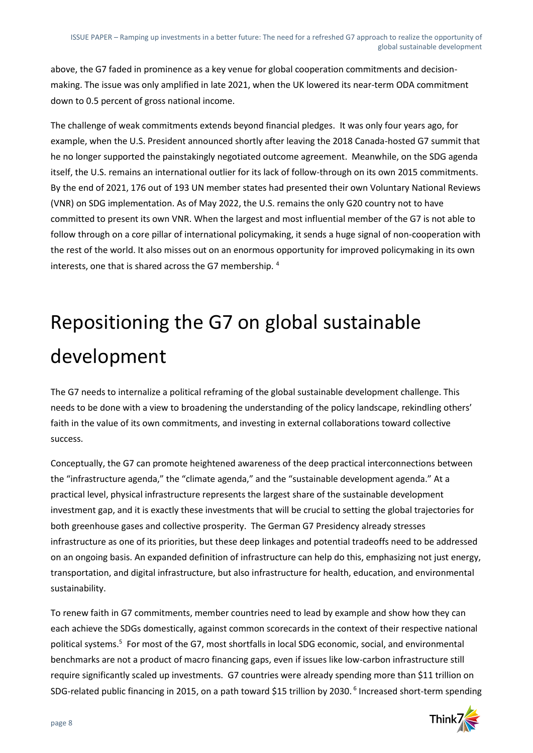above, the G7 faded in prominence as a key venue for global cooperation commitments and decisionmaking. The issue was only amplified in late 2021, when the UK lowered its near-term ODA commitment down to 0.5 percent of gross national income.

The challenge of weak commitments extends beyond financial pledges. It was only four years ago, for example, when the U.S. President announced shortly after leaving the 2018 Canada-hosted G7 summit that he no longer supported the painstakingly negotiated outcome agreement. Meanwhile, on the SDG agenda itself, the U.S. remains an international outlier for its lack of follow-through on its own 2015 commitments. By the end of 2021, 176 out of 193 UN member states had presented their own Voluntary National Reviews (VNR) on SDG implementation. As of May 2022, the U.S. remains the only G20 country not to have committed to present its own VNR. When the largest and most influential member of the G7 is not able to follow through on a core pillar of international policymaking, it sends a huge signal of non-cooperation with the rest of the world. It also misses out on an enormous opportunity for improved policymaking in its own interests, one that is shared across the G7 membership. <sup>4</sup>

## Repositioning the G7 on global sustainable development

The G7 needs to internalize a political reframing of the global sustainable development challenge. This needs to be done with a view to broadening the understanding of the policy landscape, rekindling others' faith in the value of its own commitments, and investing in external collaborations toward collective success.

Conceptually, the G7 can promote heightened awareness of the deep practical interconnections between the "infrastructure agenda," the "climate agenda," and the "sustainable development agenda." At a practical level, physical infrastructure represents the largest share of the sustainable development investment gap, and it is exactly these investments that will be crucial to setting the global trajectories for both greenhouse gases and collective prosperity. The German G7 Presidency already stresses infrastructure as one of its priorities, but these deep linkages and potential tradeoffs need to be addressed on an ongoing basis. An expanded definition of infrastructure can help do this, emphasizing not just energy, transportation, and digital infrastructure, but also infrastructure for health, education, and environmental sustainability.

To renew faith in G7 commitments, member countries need to lead by example and show how they can each achieve the SDGs domestically, against common scorecards in the context of their respective national political systems.<sup>5</sup> For most of the G7, most shortfalls in local SDG economic, social, and environmental benchmarks are not a product of macro financing gaps, even if issues like low-carbon infrastructure still require significantly scaled up investments. G7 countries were already spending more than \$11 trillion on SDG-related public financing in 2015, on a path toward \$15 trillion by 2030.<sup>6</sup> Increased short-term spending

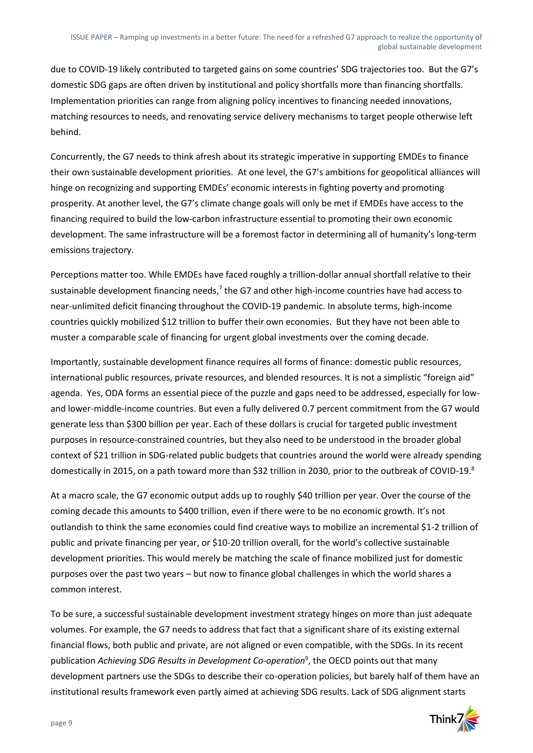due to COVID-19 likely contributed to targeted gains on some countries' SDG trajectories too. But the G7's domestic SDG gaps are often driven by institutional and policy shortfalls more than financing shortfalls. Implementation priorities can range from aligning policy incentives to financing needed innovations, matching resources to needs, and renovating service delivery mechanisms to target people otherwise left behind.

Concurrently, the G7 needs to think afresh about its strategic imperative in supporting EMDEs to finance their own sustainable development priorities. At one level, the G7's ambitions for geopolitical alliances will hinge on recognizing and supporting EMDEs' economic interests in fighting poverty and promoting prosperity. At another level, the G7's climate change goals will only be met if EMDEs have access to the financing required to build the low-carbon infrastructure essential to promoting their own economic development. The same infrastructure will be a foremost factor in determining all of humanity's long-term emissions trajectory.

Perceptions matter too. While EMDEs have faced roughly a trillion-dollar annual shortfall relative to their sustainable development financing needs,<sup>7</sup> the G7 and other high-income countries have had access to near-unlimited deficit financing throughout the COVID-19 pandemic. In absolute terms, high-income countries quickly mobilized \$12 trillion to buffer their own economies. But they have not been able to muster a comparable scale of financing for urgent global investments over the coming decade.

Importantly, sustainable development finance requires all forms of finance: domestic public resources, international public resources, private resources, and blended resources. It is not a simplistic "foreign aid" agenda. Yes, ODA forms an essential piece of the puzzle and gaps need to be addressed, especially for lowand lower-middle-income countries. But even a fully delivered 0.7 percent commitment from the G7 would generate less than \$300 billion per year. Each of these dollars is crucial for targeted public investment purposes in resource-constrained countries, but they also need to be understood in the broader global context of \$21 trillion in SDG-related public budgets that countries around the world were already spending domestically in 2015, on a path toward more than \$32 trillion in 2030, prior to the outbreak of COVID-19.<sup>8</sup>

At a macro scale, the G7 economic output adds up to roughly \$40 trillion per year. Over the course of the coming decade this amounts to \$400 trillion, even if there were to be no economic growth. It's not outlandish to think the same economies could find creative ways to mobilize an incremental \$1-2 trillion of public and private financing per year, or \$10-20 trillion overall, for the world's collective sustainable development priorities. This would merely be matching the scale of finance mobilized just for domestic purposes over the past two years – but now to finance global challenges in which the world shares a common interest.

To be sure, a successful sustainable development investment strategy hinges on more than just adequate volumes. For example, the G7 needs to address that fact that a significant share of its existing external financial flows, both public and private, are not aligned or even compatible, with the SDGs. In its recent publication *Achieving SDG Results in Development Co-operation*<sup>9</sup> , the OECD points out that many development partners use the SDGs to describe their co-operation policies, but barely half of them have an institutional results framework even partly aimed at achieving SDG results. Lack of SDG alignment starts

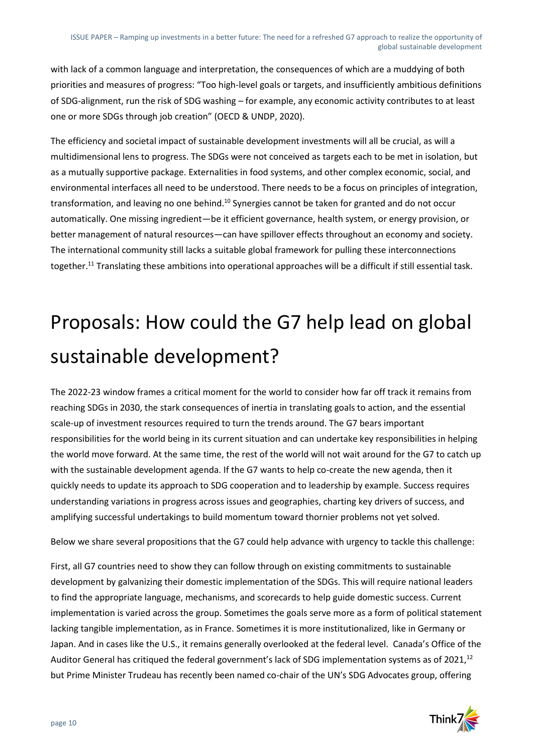with lack of a common language and interpretation, the consequences of which are a muddying of both priorities and measures of progress: "Too high-level goals or targets, and insufficiently ambitious definitions of SDG-alignment, run the risk of SDG washing – for example, any economic activity contributes to at least one or more SDGs through job creation" (OECD & UNDP, 2020).

The efficiency and societal impact of sustainable development investments will all be crucial, as will a multidimensional lens to progress. The SDGs were not conceived as targets each to be met in isolation, but as a mutually supportive package. Externalities in food systems, and other complex economic, social, and environmental interfaces all need to be understood. There needs to be a focus on principles of integration, transformation, and leaving no one behind.<sup>10</sup> Synergies cannot be taken for granted and do not occur automatically. One missing ingredient—be it efficient governance, health system, or energy provision, or better management of natural resources—can have spillover effects throughout an economy and society. The international community still lacks a suitable global framework for pulling these interconnections together.<sup>11</sup> Translating these ambitions into operational approaches will be a difficult if still essential task.

## Proposals: How could the G7 help lead on global sustainable development?

The 2022-23 window frames a critical moment for the world to consider how far off track it remains from reaching SDGs in 2030, the stark consequences of inertia in translating goals to action, and the essential scale-up of investment resources required to turn the trends around. The G7 bears important responsibilities for the world being in its current situation and can undertake key responsibilities in helping the world move forward. At the same time, the rest of the world will not wait around for the G7 to catch up with the sustainable development agenda. If the G7 wants to help co-create the new agenda, then it quickly needs to update its approach to SDG cooperation and to leadership by example. Success requires understanding variations in progress across issues and geographies, charting key drivers of success, and amplifying successful undertakings to build momentum toward thornier problems not yet solved.

Below we share several propositions that the G7 could help advance with urgency to tackle this challenge:

First, all G7 countries need to show they can follow through on existing commitments to sustainable development by galvanizing their domestic implementation of the SDGs. This will require national leaders to find the appropriate language, mechanisms, and scorecards to help guide domestic success. Current implementation is varied across the group. Sometimes the goals serve more as a form of political statement lacking tangible implementation, as in France. Sometimes it is more institutionalized, like in Germany or Japan. And in cases like the U.S., it remains generally overlooked at the federal level. Canada's Office of the Auditor General has critiqued the federal government's lack of SDG implementation systems as of 2021, $^{12}$ but Prime Minister Trudeau has recently been named co-chair of the UN's SDG Advocates group, offering

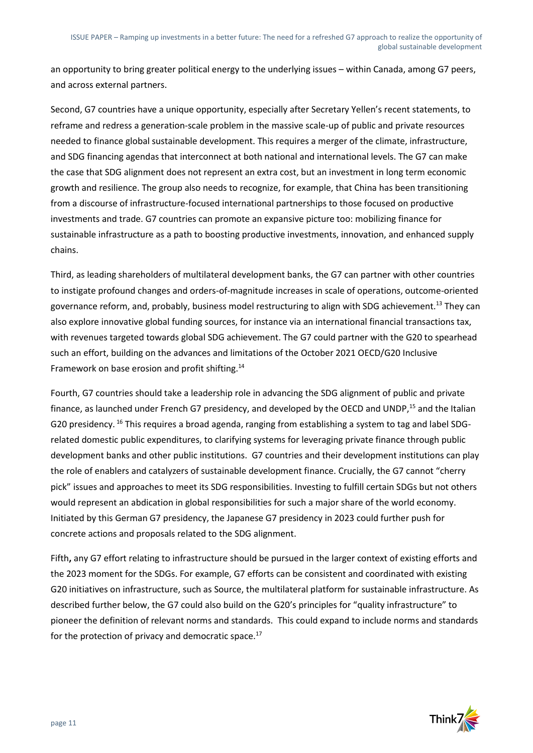an opportunity to bring greater political energy to the underlying issues – within Canada, among G7 peers, and across external partners.

Second, G7 countries have a unique opportunity, especially after Secretary Yellen's recent statements, to reframe and redress a generation-scale problem in the massive scale-up of public and private resources needed to finance global sustainable development. This requires a merger of the climate, infrastructure, and SDG financing agendas that interconnect at both national and international levels. The G7 can make the case that SDG alignment does not represent an extra cost, but an investment in long term economic growth and resilience. The group also needs to recognize, for example, that China has been transitioning from a discourse of infrastructure-focused international partnerships to those focused on productive investments and trade. G7 countries can promote an expansive picture too: mobilizing finance for sustainable infrastructure as a path to boosting productive investments, innovation, and enhanced supply chains.

Third, as leading shareholders of multilateral development banks, the G7 can partner with other countries to instigate profound changes and orders-of-magnitude increases in scale of operations, outcome-oriented governance reform, and, probably, business model restructuring to align with SDG achievement.<sup>13</sup> They can also explore innovative global funding sources, for instance via an international financial transactions tax, with revenues targeted towards global SDG achievement. The G7 could partner with the G20 to spearhead such an effort, building on the advances and limitations of the October 2021 OECD/G20 Inclusive Framework on base erosion and profit shifting.<sup>14</sup>

Fourth, G7 countries should take a leadership role in advancing the SDG alignment of public and private finance, as launched under French G7 presidency, and developed by the OECD and UNDP.<sup>15</sup> and the Italian G20 presidency. <sup>16</sup> This requires a broad agenda, ranging from establishing a system to tag and label SDGrelated domestic public expenditures, to clarifying systems for leveraging private finance through public development banks and other public institutions. G7 countries and their development institutions can play the role of enablers and catalyzers of sustainable development finance. Crucially, the G7 cannot "cherry pick" issues and approaches to meet its SDG responsibilities. Investing to fulfill certain SDGs but not others would represent an abdication in global responsibilities for such a major share of the world economy. Initiated by this German G7 presidency, the Japanese G7 presidency in 2023 could further push for concrete actions and proposals related to the SDG alignment.

Fifth**,** any G7 effort relating to infrastructure should be pursued in the larger context of existing efforts and the 2023 moment for the SDGs. For example, G7 efforts can be consistent and coordinated with existing G20 initiatives on infrastructure, such as Source, the multilateral platform for sustainable infrastructure. As described further below, the G7 could also build on the G20's principles for "quality infrastructure" to pioneer the definition of relevant norms and standards. This could expand to include norms and standards for the protection of privacy and democratic space.<sup>17</sup>

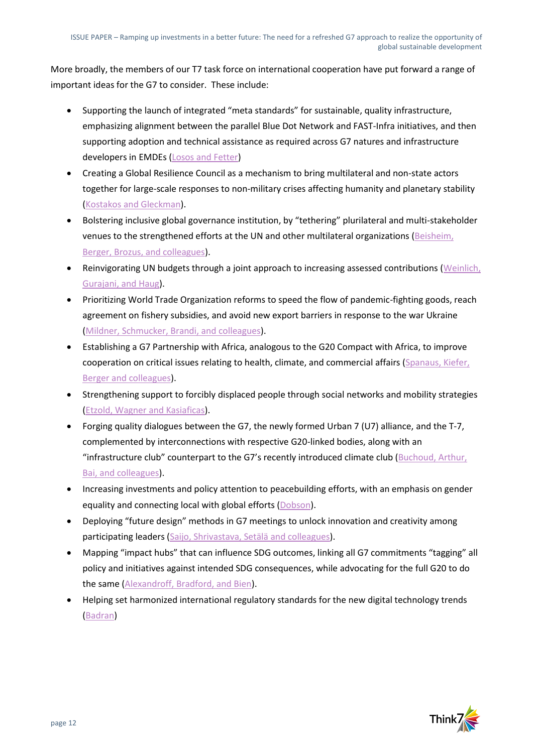More broadly, the members of our T7 task force on international cooperation have put forward a range of important ideas for the G7 to consider. These include:

- Supporting the launch of integrated "meta standards" for sustainable, quality infrastructure, emphasizing alignment between the parallel Blue Dot Network and FAST-Infra initiatives, and then supporting adoption and technical assistance as required across G7 natures and infrastructure developers in EMDEs [\(Losos and Fetter\)](https://nam10.safelinks.protection.outlook.com/?url=https%3A%2F%2Fwww.think7.org%2Fpublication%2Ffostering-a-common-approach-to-sustainable-and-quality-infrastructure%2F&data=05%7C01%7CJMcArthur%40brookings.edu%7C638bb63974e44c2b0cab08da4215629d%7C0a02388e617845139b8288b9dc6bf457%7C1%7C0%7C637894956908048525%7CUnknown%7CTWFpbGZsb3d8eyJWIjoiMC4wLjAwMDAiLCJQIjoiV2luMzIiLCJBTiI6Ik1haWwiLCJXVCI6Mn0%3D%7C1000%7C%7C%7C&sdata=FibJ7xk6o%2BzFgaH6%2FugjoWzlX0eyn5eRtZf1BxfobhA%3D&reserved=0)
- Creating a Global Resilience Council as a mechanism to bring multilateral and non-state actors together for large-scale responses to non-military crises affecting humanity and planetary stability [\(Kostakos and Gleckman\)](https://nam10.safelinks.protection.outlook.com/?url=https%3A%2F%2Fwww.think7.org%2Fpublication%2Fa-global-resilience-council-as-un-security-council-for-human-security-issues-like-climate-and-pandemics%2F&data=05%7C01%7CJMcArthur%40brookings.edu%7C638bb63974e44c2b0cab08da4215629d%7C0a02388e617845139b8288b9dc6bf457%7C1%7C0%7C637894956908048525%7CUnknown%7CTWFpbGZsb3d8eyJWIjoiMC4wLjAwMDAiLCJQIjoiV2luMzIiLCJBTiI6Ik1haWwiLCJXVCI6Mn0%3D%7C1000%7C%7C%7C&sdata=Cvhi7hkBqtmFu4NbMEAKB8cu24AC9u1YgEPyOZjg8Pk%3D&reserved=0).
- Bolstering inclusive global governance institution, by "tethering" plurilateral and multi-stakeholder venues to the strengthened efforts at the UN and other multilateral organizations [\(Beisheim,](https://nam10.safelinks.protection.outlook.com/?url=https%3A%2F%2Fwww.think7.org%2Fpublication%2Fpolicy-brief-the-g7-and-multilateralism-in-times-of-aggression-maintaining-and-strengthening-cooperative-and-inclusive-approaches-for-the-global-common-good%2F&data=05%7C01%7CJMcArthur%40brookings.edu%7C638bb63974e44c2b0cab08da4215629d%7C0a02388e617845139b8288b9dc6bf457%7C1%7C0%7C637894956908048525%7CUnknown%7CTWFpbGZsb3d8eyJWIjoiMC4wLjAwMDAiLCJQIjoiV2luMzIiLCJBTiI6Ik1haWwiLCJXVCI6Mn0%3D%7C1000%7C%7C%7C&sdata=E0gP0nrBJO4zjWEhOKN1IsvyVI8odKne2o5fLHqR3qg%3D&reserved=0)  [Berger, Brozus, and colleagues\)](https://nam10.safelinks.protection.outlook.com/?url=https%3A%2F%2Fwww.think7.org%2Fpublication%2Fpolicy-brief-the-g7-and-multilateralism-in-times-of-aggression-maintaining-and-strengthening-cooperative-and-inclusive-approaches-for-the-global-common-good%2F&data=05%7C01%7CJMcArthur%40brookings.edu%7C638bb63974e44c2b0cab08da4215629d%7C0a02388e617845139b8288b9dc6bf457%7C1%7C0%7C637894956908048525%7CUnknown%7CTWFpbGZsb3d8eyJWIjoiMC4wLjAwMDAiLCJQIjoiV2luMzIiLCJBTiI6Ik1haWwiLCJXVCI6Mn0%3D%7C1000%7C%7C%7C&sdata=E0gP0nrBJO4zjWEhOKN1IsvyVI8odKne2o5fLHqR3qg%3D&reserved=0).
- Reinvigorating UN budgets through a joint approach to increasing assessed contributions [\(Weinlich,](https://nam10.safelinks.protection.outlook.com/?url=https%3A%2F%2Fwww.think7.org%2Fpublication%2Freinforcing-united-nations-funding-how-the-g7-can-strengthen-multilateralism%2F&data=05%7C01%7CJMcArthur%40brookings.edu%7C638bb63974e44c2b0cab08da4215629d%7C0a02388e617845139b8288b9dc6bf457%7C1%7C0%7C637894956908048525%7CUnknown%7CTWFpbGZsb3d8eyJWIjoiMC4wLjAwMDAiLCJQIjoiV2luMzIiLCJBTiI6Ik1haWwiLCJXVCI6Mn0%3D%7C1000%7C%7C%7C&sdata=WcnqakBpQ81EZCeNRDGHLZVUjI1ZkL0TMcMYdBt%2B5kA%3D&reserved=0)  [Gurajani, and Haug\)](https://nam10.safelinks.protection.outlook.com/?url=https%3A%2F%2Fwww.think7.org%2Fpublication%2Freinforcing-united-nations-funding-how-the-g7-can-strengthen-multilateralism%2F&data=05%7C01%7CJMcArthur%40brookings.edu%7C638bb63974e44c2b0cab08da4215629d%7C0a02388e617845139b8288b9dc6bf457%7C1%7C0%7C637894956908048525%7CUnknown%7CTWFpbGZsb3d8eyJWIjoiMC4wLjAwMDAiLCJQIjoiV2luMzIiLCJBTiI6Ik1haWwiLCJXVCI6Mn0%3D%7C1000%7C%7C%7C&sdata=WcnqakBpQ81EZCeNRDGHLZVUjI1ZkL0TMcMYdBt%2B5kA%3D&reserved=0).
- Prioritizing World Trade Organization reforms to speed the flow of pandemic-fighting goods, reach agreement on fishery subsidies, and avoid new export barriers in response to the war Ukraine [\(Mildner, Schmucker, Brandi, and colleagues\)](https://nam10.safelinks.protection.outlook.com/?url=https%3A%2F%2Fwww.think7.org%2Fpublication%2Fwto-2-0-making-the-multilateral-trading-system-fit-for-the-21st-century-and-how-the-g7-can-help%2F&data=05%7C01%7CJMcArthur%40brookings.edu%7C638bb63974e44c2b0cab08da4215629d%7C0a02388e617845139b8288b9dc6bf457%7C1%7C0%7C637894956908048525%7CUnknown%7CTWFpbGZsb3d8eyJWIjoiMC4wLjAwMDAiLCJQIjoiV2luMzIiLCJBTiI6Ik1haWwiLCJXVCI6Mn0%3D%7C1000%7C%7C%7C&sdata=oXXPVBodElxMHmC565T6vB2gK06vdk4jKwSUFFBqgKQ%3D&reserved=0).
- Establishing a G7 Partnership with Africa, analogous to the G20 Compact with Africa, to improve cooperation on critical issues relating to health, climate, and commercial affairs (Spanaus, Kiefer, [Berger and colleagues\)](https://nam10.safelinks.protection.outlook.com/?url=https%3A%2F%2Fwww.think7.org%2Fpublication%2Fpolicy-brief-a-seat-at-the-table-a-g7-partnership-with-africa%2F&data=05%7C01%7CJMcArthur%40brookings.edu%7C638bb63974e44c2b0cab08da4215629d%7C0a02388e617845139b8288b9dc6bf457%7C1%7C0%7C637894956908048525%7CUnknown%7CTWFpbGZsb3d8eyJWIjoiMC4wLjAwMDAiLCJQIjoiV2luMzIiLCJBTiI6Ik1haWwiLCJXVCI6Mn0%3D%7C1000%7C%7C%7C&sdata=gA0BbsqysUuRqMIpU5L%2BNS4wmkzOo628ux10GUf3VFA%3D&reserved=0).
- Strengthening support to forcibly displaced people through social networks and mobility strategies [\(Etzold, Wagner and Kasiaficas\)](https://nam10.safelinks.protection.outlook.com/?url=https%3A%2F%2Fwww.think7.org%2Fpublication%2Fpeople-first-new-solutions-to-the-challenge-of-displacement%2F&data=05%7C01%7CJMcArthur%40brookings.edu%7C638bb63974e44c2b0cab08da4215629d%7C0a02388e617845139b8288b9dc6bf457%7C1%7C0%7C637894956908048525%7CUnknown%7CTWFpbGZsb3d8eyJWIjoiMC4wLjAwMDAiLCJQIjoiV2luMzIiLCJBTiI6Ik1haWwiLCJXVCI6Mn0%3D%7C1000%7C%7C%7C&sdata=TvwGZsbTZMBenkgLo2I%2BBDhnArA%2FYz7nPbN1P62Ioak%3D&reserved=0).
- Forging quality dialogues between the G7, the newly formed Urban 7 (U7) alliance, and the T-7, complemented by interconnections with respective G20-linked bodies, along with an "infrastructure club" counterpart to the G7's recently introduced climate club ([Buchoud, Arthur,](https://www.think7.org/publication/a-g7-infrastructure-club-mobilizing-the-transformative-power-of-cities-to-support-multilateralism-and-the-agenda-2030-in-post-covid-g7-g20/)  [Bai, and colleagues\)](https://www.think7.org/publication/a-g7-infrastructure-club-mobilizing-the-transformative-power-of-cities-to-support-multilateralism-and-the-agenda-2030-in-post-covid-g7-g20/).
- Increasing investments and policy attention to peacebuilding efforts, with an emphasis on gender equality and connecting local with global efforts [\(Dobson\)](https://nam10.safelinks.protection.outlook.com/?url=https%3A%2F%2Fwww.think7.org%2Fpublication%2Fg7-investment-in-peacebuilding-for-the-global-common-good%2F&data=05%7C01%7CJMcArthur%40brookings.edu%7C638bb63974e44c2b0cab08da4215629d%7C0a02388e617845139b8288b9dc6bf457%7C1%7C0%7C637894956908048525%7CUnknown%7CTWFpbGZsb3d8eyJWIjoiMC4wLjAwMDAiLCJQIjoiV2luMzIiLCJBTiI6Ik1haWwiLCJXVCI6Mn0%3D%7C1000%7C%7C%7C&sdata=BaYpV7WIQzxTFII89Va8Gc0pqWYKNZQhy13k%2Fmg57fU%3D&reserved=0).
- Deploying "future design" methods in G7 meetings to unlock innovation and creativity among participating leaders [\(Saijo, Shrivastava, Setälä and colleagues\)](https://nam10.safelinks.protection.outlook.com/?url=https%3A%2F%2Fwww.think7.org%2Fpublication%2Ffuture-design%2F&data=05%7C01%7CJMcArthur%40brookings.edu%7C638bb63974e44c2b0cab08da4215629d%7C0a02388e617845139b8288b9dc6bf457%7C1%7C0%7C637894956908048525%7CUnknown%7CTWFpbGZsb3d8eyJWIjoiMC4wLjAwMDAiLCJQIjoiV2luMzIiLCJBTiI6Ik1haWwiLCJXVCI6Mn0%3D%7C1000%7C%7C%7C&sdata=i1BQtkWKn232IIQR8dtRgXZb3ZIosOZQ5u7%2BjK5W9d8%3D&reserved=0).
- Mapping "impact hubs" that can influence SDG outcomes, linking all G7 commitments "tagging" all policy and initiatives against intended SDG consequences, while advocating for the full G20 to do the same [\(Alexandroff, Bradford, and Bien\)](https://nam10.safelinks.protection.outlook.com/?url=https%3A%2F%2Fwww.think7.org%2Fpublication%2Fidentifying-impact-hubs-for-agenda-2030-and-g7-commitment-to-agenda-2030-policy-tags-sdg-tags%2F&data=05%7C01%7CJMcArthur%40brookings.edu%7C638bb63974e44c2b0cab08da4215629d%7C0a02388e617845139b8288b9dc6bf457%7C1%7C0%7C637894956908048525%7CUnknown%7CTWFpbGZsb3d8eyJWIjoiMC4wLjAwMDAiLCJQIjoiV2luMzIiLCJBTiI6Ik1haWwiLCJXVCI6Mn0%3D%7C1000%7C%7C%7C&sdata=L043%2BsTyqReIazwDUDH29Z29T72chWpaMIKZKucMoIc%3D&reserved=0).
- Helping set harmonized international regulatory standards for the new digital technology trends [\(Badran\)](https://nam10.safelinks.protection.outlook.com/?url=https%3A%2F%2Fwww.think7.org%2Fpublication%2Ffinding-solutions-to-common-digital-economy-challenges-under-germanys-presidency-for-the-g7%2F&data=05%7C01%7CJMcArthur%40brookings.edu%7C638bb63974e44c2b0cab08da4215629d%7C0a02388e617845139b8288b9dc6bf457%7C1%7C0%7C637894956908048525%7CUnknown%7CTWFpbGZsb3d8eyJWIjoiMC4wLjAwMDAiLCJQIjoiV2luMzIiLCJBTiI6Ik1haWwiLCJXVCI6Mn0%3D%7C1000%7C%7C%7C&sdata=tlqnr9XU6gQipGQhLEJwbdU9n4KQwCp8fF3188BqIVc%3D&reserved=0)

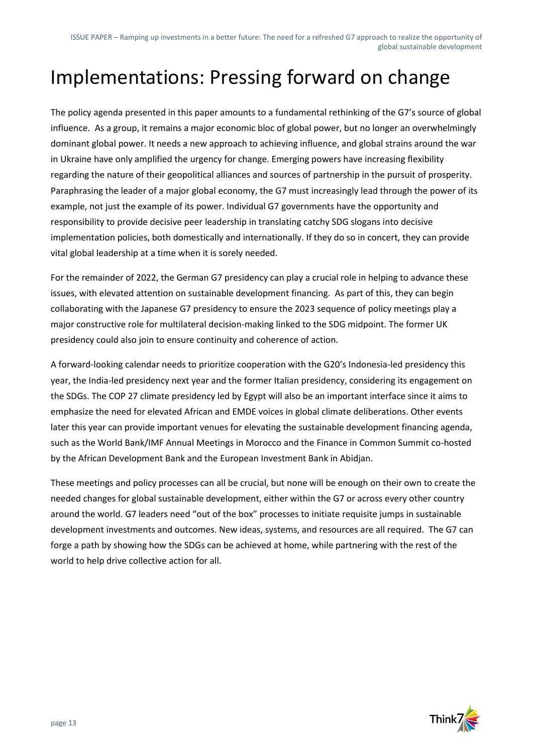## Implementations: Pressing forward on change

The policy agenda presented in this paper amounts to a fundamental rethinking of the G7's source of global influence. As a group, it remains a major economic bloc of global power, but no longer an overwhelmingly dominant global power. It needs a new approach to achieving influence, and global strains around the war in Ukraine have only amplified the urgency for change. Emerging powers have increasing flexibility regarding the nature of their geopolitical alliances and sources of partnership in the pursuit of prosperity. Paraphrasing the leader of a major global economy, the G7 must increasingly lead through the power of its example, not just the example of its power. Individual G7 governments have the opportunity and responsibility to provide decisive peer leadership in translating catchy SDG slogans into decisive implementation policies, both domestically and internationally. If they do so in concert, they can provide vital global leadership at a time when it is sorely needed.

For the remainder of 2022, the German G7 presidency can play a crucial role in helping to advance these issues, with elevated attention on sustainable development financing. As part of this, they can begin collaborating with the Japanese G7 presidency to ensure the 2023 sequence of policy meetings play a major constructive role for multilateral decision-making linked to the SDG midpoint. The former UK presidency could also join to ensure continuity and coherence of action.

A forward-looking calendar needs to prioritize cooperation with the G20's Indonesia-led presidency this year, the India-led presidency next year and the former Italian presidency, considering its engagement on the SDGs. The COP 27 climate presidency led by Egypt will also be an important interface since it aims to emphasize the need for elevated African and EMDE voices in global climate deliberations. Other events later this year can provide important venues for elevating the sustainable development financing agenda, such as the World Bank/IMF Annual Meetings in Morocco and the Finance in Common Summit co-hosted by the African Development Bank and the European Investment Bank in Abidjan.

These meetings and policy processes can all be crucial, but none will be enough on their own to create the needed changes for global sustainable development, either within the G7 or across every other country around the world. G7 leaders need "out of the box" processes to initiate requisite jumps in sustainable development investments and outcomes. New ideas, systems, and resources are all required. The G7 can forge a path by showing how the SDGs can be achieved at home, while partnering with the rest of the world to help drive collective action for all.

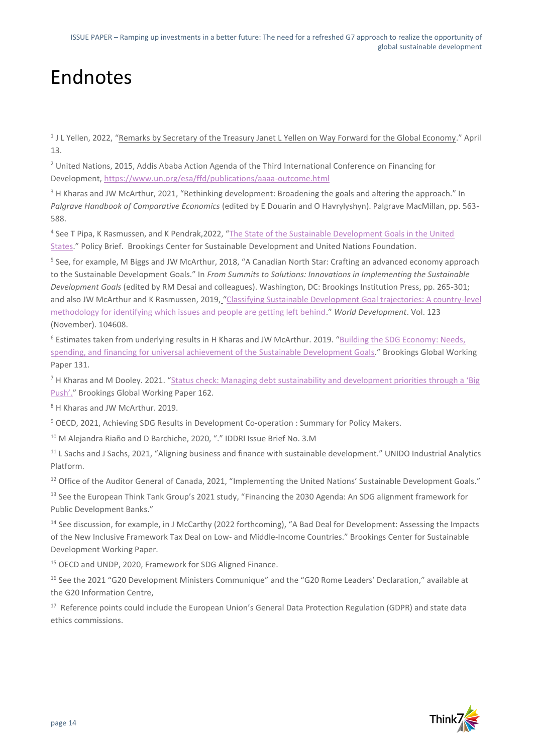## Endnotes

<sup>1</sup> J L Yellen, 2022, "<u>Remarks by Secretary of the Treasury Janet L Yellen on Way Forward for the Global Economy." April</u> 13.

<sup>2</sup> United Nations, 2015, Addis Ababa Action Agenda of the Third International Conference on Financing for Development[, https://www.un.org/esa/ffd/publications/aaaa-outcome.html](https://www.un.org/esa/ffd/publications/aaaa-outcome.html)

<sup>3</sup> H Kharas and JW McArthur, 2021, "Rethinking development: Broadening the goals and altering the approach." In *Palgrave Handbook of Comparative Economics* (edited by E Douarin and O Havrylyshyn). Palgrave MacMillan, pp. 563- 588.

<sup>4</sup> See T Pipa, K Rasmussen, and K Pendrak,2022, "The State of the Sustainable Development Goals in the United [States](https://www.brookings.edu/research/the-state-of-the-sustainable-development-goals-in-the-united-states/)." Policy Brief. Brookings Center for Sustainable Development and United Nations Foundation.

<sup>5</sup> See, for example, M Biggs and JW McArthur, 2018, "A Canadian North Star: Crafting an advanced economy approach to the Sustainable Development Goals." In *From Summits to Solutions: Innovations in Implementing the Sustainable Development Goals* (edited by RM Desai and colleagues). Washington, DC: Brookings Institution Press, pp. 265-301; and also JW McArthur and K Rasmussen, 2019, "[Classifying Sustainable Development Goal trajectories: A country-level](https://doi.org/10.1016/j.worlddev.2019.06.031)  [methodology for identifying which issues and people are getting left behind](https://doi.org/10.1016/j.worlddev.2019.06.031)." *World Development*. Vol. 123 (November). 104608.

<sup>6</sup> Estimates taken from underlying results in H Kharas and JW McArthur. 2019. "[Building the SDG Economy: Needs,](https://www.brookings.edu/research/building-the-sdg-economy-needs-spending-and-financing-for-universal-achievement-of-the-sustainable-development-goals/)  [spending, and financing for universal achievement of the Sustainable Development Goals](https://www.brookings.edu/research/building-the-sdg-economy-needs-spending-and-financing-for-universal-achievement-of-the-sustainable-development-goals/)." Brookings Global Working Paper 131.

<sup>7</sup> H Kharas and M Dooley. 2021. "Status check: Managing debt sustainability and development priorities through a 'Big [Push'](https://www.brookings.edu/research/status-check-managing-debt-sustainability-and-development-priorities-through-a-big-push/)." Brookings Global Working Paper 162.

<sup>8</sup> H Kharas and JW McArthur. 2019.

<sup>9</sup> OECD, 2021, Achieving SDG Results in Development Co-operation : Summary for Policy Makers.

<sup>10</sup> M Alejandra Riaño and D Barchiche, 2020, "." IDDRI Issue Brief No. 3.M

<sup>11</sup> L Sachs and J Sachs, 2021, "[Aligning business and finance with sustainable development](https://iap.unido.org/articles/aligning-business-and-finance-sustainable-development)." UNIDO Industrial Analytics Platform.

 $12$  Office of the Auditor General of Canada, 2021, ["Implementing the United Nations' Sustainable Development Goals.](https://www.oag-bvg.gc.ca/internet/English/parl_cesd_202104_01_e_43805.html)"

<sup>13</sup> See the European Think Tank Group's 2021 study, "Financing the 2030 Agenda: An SDG alignment framework for [Public Development Banks](https://ettg.eu/publications/financing-the-2030-agenda-an-sdg-alignment-framework-for-public-development-banks/)."

<sup>14</sup> See discussion, for example, in J McCarthy (2022 forthcoming), "A Bad Deal for Development: Assessing the Impacts of the New Inclusive Framework Tax Deal on Low- and Middle-Income Countries." Brookings Center for Sustainable Development Working Paper.

<sup>15</sup> OECD and UNDP, 2020, Framework for SDG Aligned Finance.

<sup>16</sup> See the 2021 "[G20 Development Ministers Communique](http://www.g20.utoronto.ca/2021/210629-development-communique.html)" and the ["G20 Rome Leaders' Declaration](http://www.g20.utoronto.ca/2021/211031-declaration.html)." available at the G20 Information Centre,

<sup>17</sup> Reference points could include the European Union's General Data Protection Regulation (GDPR) and state data ethics commissions.

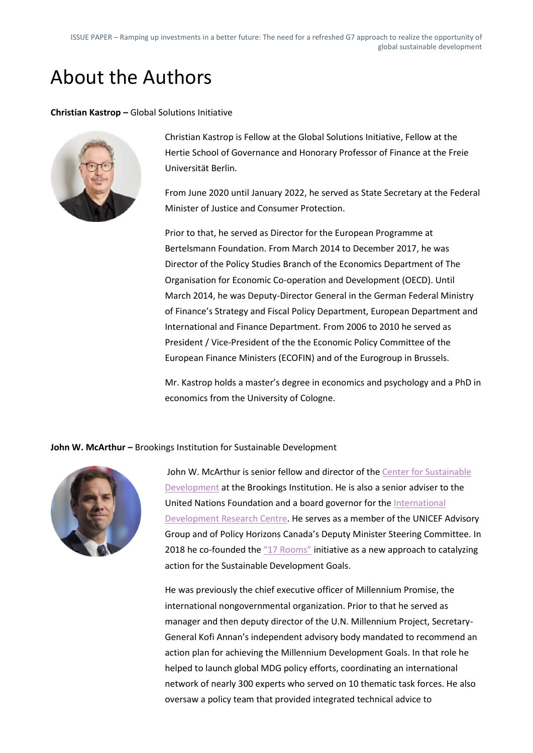### About the Authors

**Christian Kastrop –** Global Solutions Initiative



Christian Kastrop is Fellow at the Global Solutions Initiative, Fellow at the Hertie School of Governance and Honorary Professor of Finance at the Freie Universität Berlin.

From June 2020 until January 2022, he served as State Secretary at the Federal Minister of Justice and Consumer Protection.

Prior to that, he served as Director for the European Programme at Bertelsmann Foundation. From March 2014 to December 2017, he was Director of the Policy Studies Branch of the Economics Department of The Organisation for Economic Co-operation and Development (OECD). Until March 2014, he was Deputy-Director General in the German Federal Ministry of Finance's Strategy and Fiscal Policy Department, European Department and International and Finance Department. From 2006 to 2010 he served as President / Vice-President of the the Economic Policy Committee of the European Finance Ministers (ECOFIN) and of the Eurogroup in Brussels.

Mr. Kastrop holds a master's degree in economics and psychology and a PhD in economics from the University of Cologne.

**John W. McArthur –** Brookings Institution for Sustainable Development



John W. McArthur is senior fellow and director of the Center for Sustainable [Development](https://www.brookings.edu/center/center-for-sustainable-development/) at the Brookings Institution. He is also a senior adviser to the United Nations Foundation and a board governor for the [International](https://www.idrc.ca/en)  [Development Research Centre.](https://www.idrc.ca/en) He serves as a member of the UNICEF Advisory Group and of Policy Horizons Canada's Deputy Minister Steering Committee. In 2018 he co-founded the ["17 Rooms"](https://www.brookings.edu/project/17-rooms/) initiative as a new approach to catalyzing action for the Sustainable Development Goals.

He was previously the chief executive officer of Millennium Promise, the international nongovernmental organization. Prior to that he served as manager and then deputy director of the U.N. Millennium Project, Secretary-General Kofi Annan's independent advisory body mandated to recommend an action plan for achieving the Millennium Development Goals. In that role he helped to launch global MDG policy efforts, coordinating an international network of nearly 300 experts who served on 10 thematic task forces. He also oversaw a policy team that provided integrated technical advice to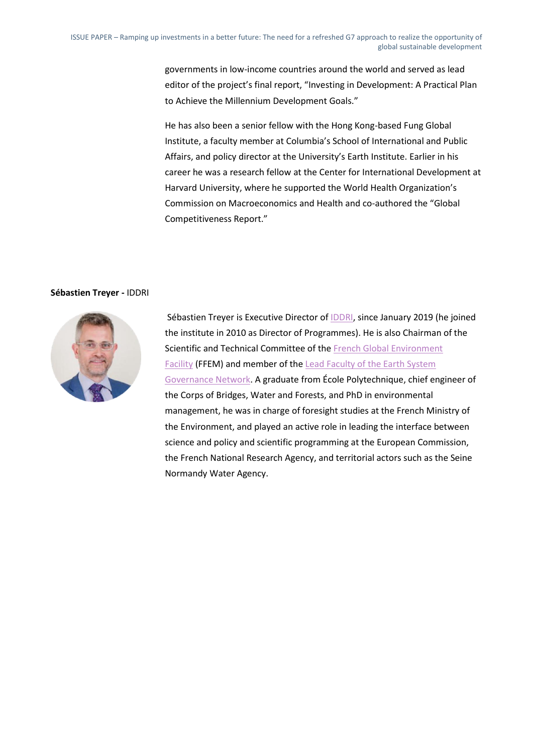governments in low-income countries around the world and served as lead editor of the project's final report, "Investing in Development: A Practical Plan to Achieve the Millennium Development Goals."

He has also been a senior fellow with the Hong Kong-based Fung Global Institute, a faculty member at Columbia's School of International and Public Affairs, and policy director at the University's Earth Institute. Earlier in his career he was a research fellow at the Center for International Development at Harvard University, where he supported the World Health Organization's Commission on Macroeconomics and Health and co-authored the "Global Competitiveness Report."

#### **Sébastien Treyer -** IDDRI



Sébastien Treyer is Executive Director of **IDDRI**, since January 2019 (he joined the institute in 2010 as Director of Programmes). He is also Chairman of the Scientific and Technical Committee of the French Global Environment Facility (FFEM) and member of the Lead Faculty of the Earth System Governance Network. A graduate from École Polytechnique, chief engineer of the Corps of Bridges, Water and Forests, and PhD in environmental management, he was in charge of foresight studies at the French Ministry of the Environment, and played an active role in leading the interface between science and policy and scientific programming at the European Commission, the French National Research Agency, and territorial actors such as the Seine Normandy Water Agency.